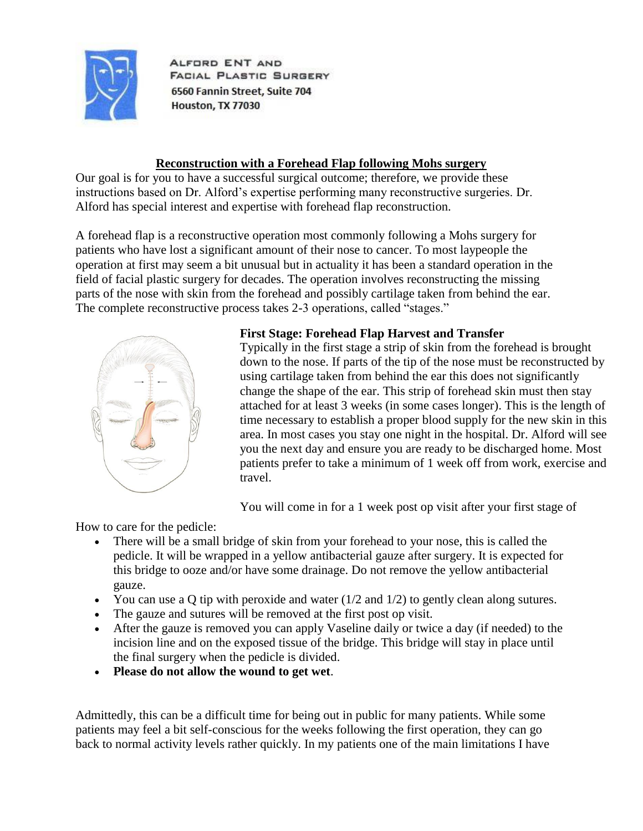

ALFORD ENT AND FACIAL PLASTIC SURGERY 6560 Fannin Street, Suite 704 Houston, TX 77030

# **Reconstruction with a Forehead Flap following Mohs surgery**

Our goal is for you to have a successful surgical outcome; therefore, we provide these instructions based on Dr. Alford's expertise performing many reconstructive surgeries. Dr. Alford has special interest and expertise with forehead flap reconstruction.

A forehead flap is a reconstructive operation most commonly following a Mohs surgery for patients who have lost a significant amount of their nose to cancer. To most laypeople the operation at first may seem a bit unusual but in actuality it has been a standard operation in the field of facial plastic surgery for decades. The operation involves reconstructing the missing parts of the nose with skin from the forehead and possibly cartilage taken from behind the ear. The complete reconstructive process takes 2-3 operations, called "stages."



# **First Stage: Forehead Flap Harvest and Transfer**

Typically in the first stage a strip of skin from the forehead is brought down to the nose. If parts of the tip of the nose must be reconstructed by using cartilage taken from behind the ear this does not significantly change the shape of the ear. This strip of forehead skin must then stay attached for at least 3 weeks (in some cases longer). This is the length of time necessary to establish a proper blood supply for the new skin in this area. In most cases you stay one night in the hospital. Dr. Alford will see you the next day and ensure you are ready to be discharged home. Most patients prefer to take a minimum of 1 week off from work, exercise and travel.

You will come in for a 1 week post op visit after your first stage of

How to care for the pedicle:

- There will be a small bridge of skin from your forehead to your nose, this is called the pedicle. It will be wrapped in a yellow antibacterial gauze after surgery. It is expected for this bridge to ooze and/or have some drainage. Do not remove the yellow antibacterial gauze.
- You can use a Q tip with peroxide and water  $(1/2 \text{ and } 1/2)$  to gently clean along sutures.
- The gauze and sutures will be removed at the first post op visit.
- After the gauze is removed you can apply Vaseline daily or twice a day (if needed) to the incision line and on the exposed tissue of the bridge. This bridge will stay in place until the final surgery when the pedicle is divided.
- **Please do not allow the wound to get wet**.

Admittedly, this can be a difficult time for being out in public for many patients. While some patients may feel a bit self-conscious for the weeks following the first operation, they can go back to normal activity levels rather quickly. In my patients one of the main limitations I have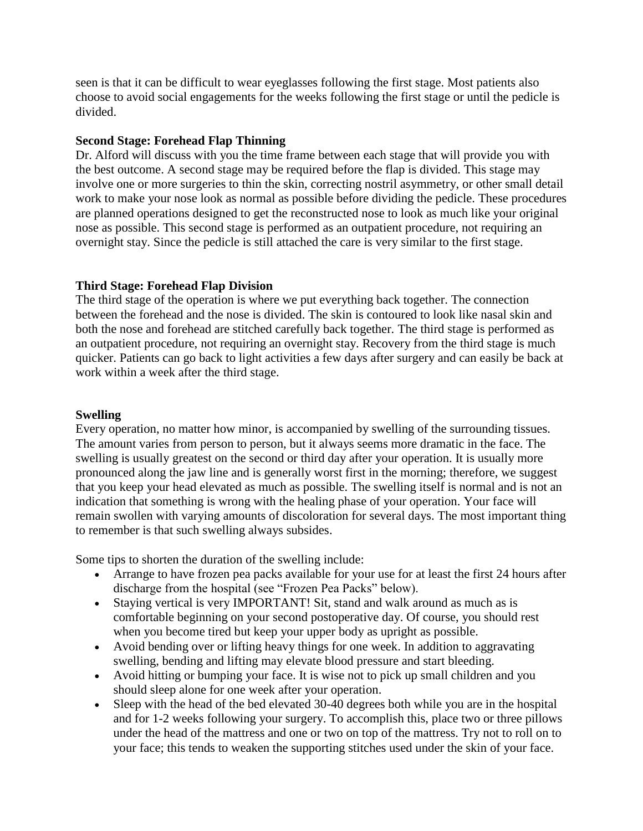seen is that it can be difficult to wear eyeglasses following the first stage. Most patients also choose to avoid social engagements for the weeks following the first stage or until the pedicle is divided.

### **Second Stage: Forehead Flap Thinning**

Dr. Alford will discuss with you the time frame between each stage that will provide you with the best outcome. A second stage may be required before the flap is divided. This stage may involve one or more surgeries to thin the skin, correcting nostril asymmetry, or other small detail work to make your nose look as normal as possible before dividing the pedicle. These procedures are planned operations designed to get the reconstructed nose to look as much like your original nose as possible. This second stage is performed as an outpatient procedure, not requiring an overnight stay. Since the pedicle is still attached the care is very similar to the first stage.

## **Third Stage: Forehead Flap Division**

The third stage of the operation is where we put everything back together. The connection between the forehead and the nose is divided. The skin is contoured to look like nasal skin and both the nose and forehead are stitched carefully back together. The third stage is performed as an outpatient procedure, not requiring an overnight stay. Recovery from the third stage is much quicker. Patients can go back to light activities a few days after surgery and can easily be back at work within a week after the third stage.

## **Swelling**

Every operation, no matter how minor, is accompanied by swelling of the surrounding tissues. The amount varies from person to person, but it always seems more dramatic in the face. The swelling is usually greatest on the second or third day after your operation. It is usually more pronounced along the jaw line and is generally worst first in the morning; therefore, we suggest that you keep your head elevated as much as possible. The swelling itself is normal and is not an indication that something is wrong with the healing phase of your operation. Your face will remain swollen with varying amounts of discoloration for several days. The most important thing to remember is that such swelling always subsides.

Some tips to shorten the duration of the swelling include:

- Arrange to have frozen pea packs available for your use for at least the first 24 hours after discharge from the hospital (see "Frozen Pea Packs" below).
- Staying vertical is very IMPORTANT! Sit, stand and walk around as much as is comfortable beginning on your second postoperative day. Of course, you should rest when you become tired but keep your upper body as upright as possible.
- Avoid bending over or lifting heavy things for one week. In addition to aggravating swelling, bending and lifting may elevate blood pressure and start bleeding.
- Avoid hitting or bumping your face. It is wise not to pick up small children and you should sleep alone for one week after your operation.
- Sleep with the head of the bed elevated 30-40 degrees both while you are in the hospital and for 1-2 weeks following your surgery. To accomplish this, place two or three pillows under the head of the mattress and one or two on top of the mattress. Try not to roll on to your face; this tends to weaken the supporting stitches used under the skin of your face.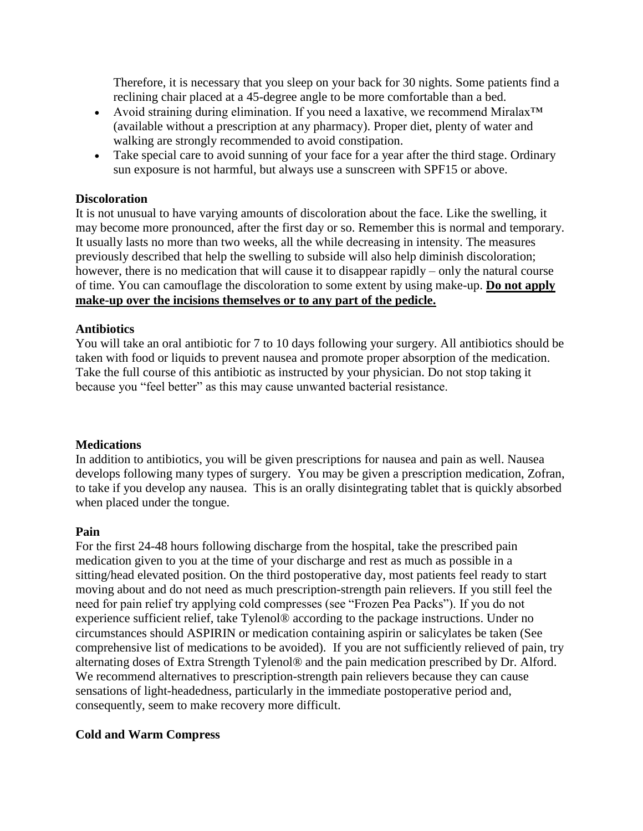Therefore, it is necessary that you sleep on your back for 30 nights. Some patients find a reclining chair placed at a 45-degree angle to be more comfortable than a bed.

- Avoid straining during elimination. If you need a laxative, we recommend Miralax<sup>™</sup> (available without a prescription at any pharmacy). Proper diet, plenty of water and walking are strongly recommended to avoid constipation.
- Take special care to avoid sunning of your face for a year after the third stage. Ordinary sun exposure is not harmful, but always use a sunscreen with SPF15 or above.

#### **Discoloration**

It is not unusual to have varying amounts of discoloration about the face. Like the swelling, it may become more pronounced, after the first day or so. Remember this is normal and temporary. It usually lasts no more than two weeks, all the while decreasing in intensity. The measures previously described that help the swelling to subside will also help diminish discoloration; however, there is no medication that will cause it to disappear rapidly – only the natural course of time. You can camouflage the discoloration to some extent by using make-up. **Do not apply make-up over the incisions themselves or to any part of the pedicle.**

### **Antibiotics**

You will take an oral antibiotic for 7 to 10 days following your surgery. All antibiotics should be taken with food or liquids to prevent nausea and promote proper absorption of the medication. Take the full course of this antibiotic as instructed by your physician. Do not stop taking it because you "feel better" as this may cause unwanted bacterial resistance.

#### **Medications**

In addition to antibiotics, you will be given prescriptions for nausea and pain as well. Nausea develops following many types of surgery. You may be given a prescription medication, Zofran, to take if you develop any nausea. This is an orally disintegrating tablet that is quickly absorbed when placed under the tongue.

#### **Pain**

For the first 24-48 hours following discharge from the hospital, take the prescribed pain medication given to you at the time of your discharge and rest as much as possible in a sitting/head elevated position. On the third postoperative day, most patients feel ready to start moving about and do not need as much prescription-strength pain relievers. If you still feel the need for pain relief try applying cold compresses (see "Frozen Pea Packs"). If you do not experience sufficient relief, take Tylenol® according to the package instructions. Under no circumstances should ASPIRIN or medication containing aspirin or salicylates be taken (See comprehensive list of medications to be avoided). If you are not sufficiently relieved of pain, try alternating doses of Extra Strength Tylenol® and the pain medication prescribed by Dr. Alford. We recommend alternatives to prescription-strength pain relievers because they can cause sensations of light-headedness, particularly in the immediate postoperative period and, consequently, seem to make recovery more difficult.

### **Cold and Warm Compress**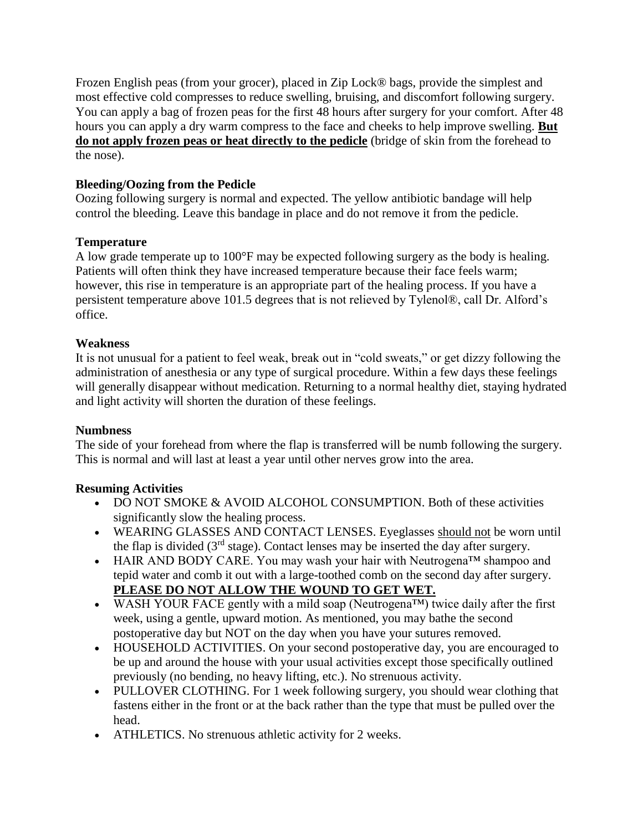Frozen English peas (from your grocer), placed in Zip Lock® bags, provide the simplest and most effective cold compresses to reduce swelling, bruising, and discomfort following surgery. You can apply a bag of frozen peas for the first 48 hours after surgery for your comfort. After 48 hours you can apply a dry warm compress to the face and cheeks to help improve swelling. **But do not apply frozen peas or heat directly to the pedicle** (bridge of skin from the forehead to the nose).

# **Bleeding/Oozing from the Pedicle**

Oozing following surgery is normal and expected. The yellow antibiotic bandage will help control the bleeding. Leave this bandage in place and do not remove it from the pedicle.

# **Temperature**

A low grade temperate up to 100°F may be expected following surgery as the body is healing. Patients will often think they have increased temperature because their face feels warm; however, this rise in temperature is an appropriate part of the healing process. If you have a persistent temperature above 101.5 degrees that is not relieved by Tylenol®, call Dr. Alford's office.

## **Weakness**

It is not unusual for a patient to feel weak, break out in "cold sweats," or get dizzy following the administration of anesthesia or any type of surgical procedure. Within a few days these feelings will generally disappear without medication. Returning to a normal healthy diet, staying hydrated and light activity will shorten the duration of these feelings.

### **Numbness**

The side of your forehead from where the flap is transferred will be numb following the surgery. This is normal and will last at least a year until other nerves grow into the area.

# **Resuming Activities**

- DO NOT SMOKE & AVOID ALCOHOL CONSUMPTION. Both of these activities significantly slow the healing process.
- WEARING GLASSES AND CONTACT LENSES. Eyeglasses should not be worn until the flap is divided ( $3<sup>rd</sup>$  stage). Contact lenses may be inserted the day after surgery.
- HAIR AND BODY CARE. You may wash your hair with Neutrogena™ shampoo and tepid water and comb it out with a large-toothed comb on the second day after surgery. **PLEASE DO NOT ALLOW THE WOUND TO GET WET.**
- WASH YOUR FACE gently with a mild soap (Neutrogena<sup>TM</sup>) twice daily after the first week, using a gentle, upward motion. As mentioned, you may bathe the second postoperative day but NOT on the day when you have your sutures removed.
- HOUSEHOLD ACTIVITIES. On your second postoperative day, you are encouraged to be up and around the house with your usual activities except those specifically outlined previously (no bending, no heavy lifting, etc.). No strenuous activity.
- PULLOVER CLOTHING. For 1 week following surgery, you should wear clothing that fastens either in the front or at the back rather than the type that must be pulled over the head.
- ATHLETICS. No strenuous athletic activity for 2 weeks.